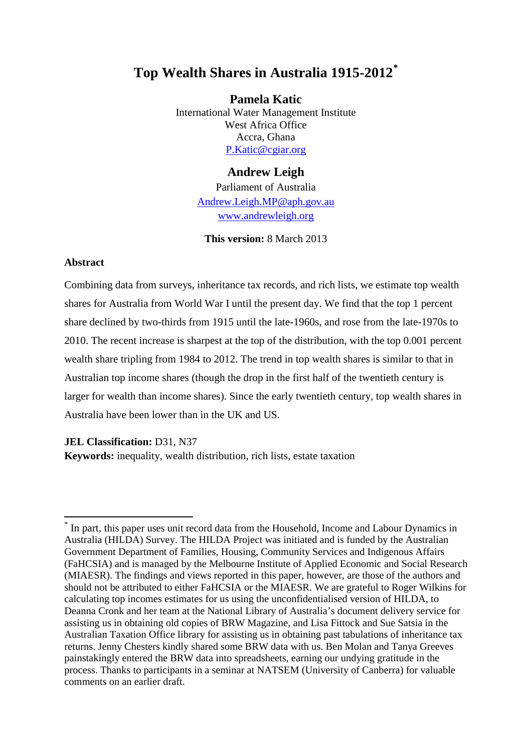# **Top Wealth Shares in Australia 1915-2012[\\*](#page-0-0)**

**Pamela Katic**  International Water Management Institute West Africa Office Accra, Ghana [P.Katic@cgiar.org](mailto:P.Katic@cgiar.org)

## **Andrew Leigh**

Parliament of Australia [Andrew.Leigh.MP@aph.gov.au](mailto:Andrew.Leigh.MP@aph.gov.au) [www.andrewleigh.org](http://www.andrewleigh.org/)

**This version:** 8 March 2013

#### **Abstract**

Combining data from surveys, inheritance tax records, and rich lists, we estimate top wealth shares for Australia from World War I until the present day. We find that the top 1 percent share declined by two-thirds from 1915 until the late-1960s, and rose from the late-1970s to 2010. The recent increase is sharpest at the top of the distribution, with the top 0.001 percent wealth share tripling from 1984 to 2012. The trend in top wealth shares is similar to that in Australian top income shares (though the drop in the first half of the twentieth century is larger for wealth than income shares). Since the early twentieth century, top wealth shares in Australia have been lower than in the UK and US.

### **JEL Classification:** D31, N37

**Keywords:** inequality, wealth distribution, rich lists, estate taxation

<span id="page-0-0"></span>In part, this paper uses unit record data from the Household, Income and Labour Dynamics in Australia (HILDA) Survey. The HILDA Project was initiated and is funded by the Australian Government Department of Families, Housing, Community Services and Indigenous Affairs (FaHCSIA) and is managed by the Melbourne Institute of Applied Economic and Social Research (MIAESR). The findings and views reported in this paper, however, are those of the authors and should not be attributed to either FaHCSIA or the MIAESR. We are grateful to Roger Wilkins for calculating top incomes estimates for us using the unconfidentialised version of HILDA, to Deanna Cronk and her team at the National Library of Australia's document delivery service for assisting us in obtaining old copies of BRW Magazine, and Lisa Fittock and Sue Satsia in the Australian Taxation Office library for assisting us in obtaining past tabulations of inheritance tax returns. Jenny Chesters kindly shared some BRW data with us. Ben Molan and Tanya Greeves painstakingly entered the BRW data into spreadsheets, earning our undying gratitude in the process. Thanks to participants in a seminar at NATSEM (University of Canberra) for valuable comments on an earlier draft.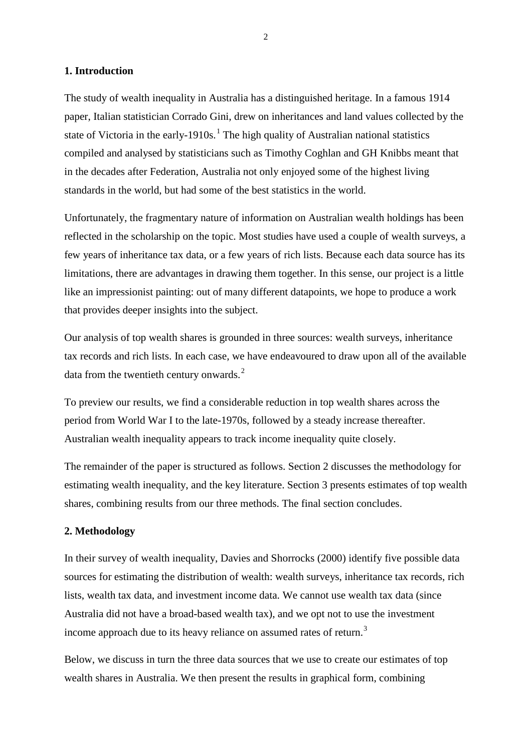#### **1. Introduction**

The study of wealth inequality in Australia has a distinguished heritage. In a famous 1914 paper, Italian statistician Corrado Gini, drew on inheritances and land values collected by the state of Victoria in the early-[1](#page-23-0)910s.<sup>1</sup> The high quality of Australian national statistics compiled and analysed by statisticians such as Timothy Coghlan and GH Knibbs meant that in the decades after Federation, Australia not only enjoyed some of the highest living standards in the world, but had some of the best statistics in the world.

Unfortunately, the fragmentary nature of information on Australian wealth holdings has been reflected in the scholarship on the topic. Most studies have used a couple of wealth surveys, a few years of inheritance tax data, or a few years of rich lists. Because each data source has its limitations, there are advantages in drawing them together. In this sense, our project is a little like an impressionist painting: out of many different datapoints, we hope to produce a work that provides deeper insights into the subject.

Our analysis of top wealth shares is grounded in three sources: wealth surveys, inheritance tax records and rich lists. In each case, we have endeavoured to draw upon all of the available data from the twentieth century onwards.<sup>[2](#page-23-1)</sup>

To preview our results, we find a considerable reduction in top wealth shares across the period from World War I to the late-1970s, followed by a steady increase thereafter. Australian wealth inequality appears to track income inequality quite closely.

The remainder of the paper is structured as follows. Section 2 discusses the methodology for estimating wealth inequality, and the key literature. Section 3 presents estimates of top wealth shares, combining results from our three methods. The final section concludes.

#### **2. Methodology**

In their survey of wealth inequality, Davies and Shorrocks (2000) identify five possible data sources for estimating the distribution of wealth: wealth surveys, inheritance tax records, rich lists, wealth tax data, and investment income data. We cannot use wealth tax data (since Australia did not have a broad-based wealth tax), and we opt not to use the investment income approach due to its heavy reliance on assumed rates of return.<sup>[3](#page-23-2)</sup>

Below, we discuss in turn the three data sources that we use to create our estimates of top wealth shares in Australia. We then present the results in graphical form, combining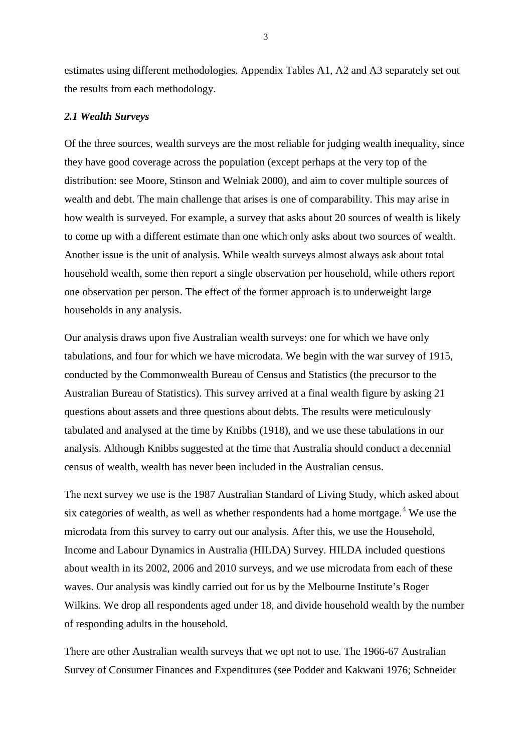estimates using different methodologies. Appendix Tables A1, A2 and A3 separately set out the results from each methodology.

#### *2.1 Wealth Surveys*

Of the three sources, wealth surveys are the most reliable for judging wealth inequality, since they have good coverage across the population (except perhaps at the very top of the distribution: see Moore, Stinson and Welniak 2000), and aim to cover multiple sources of wealth and debt. The main challenge that arises is one of comparability. This may arise in how wealth is surveyed. For example, a survey that asks about 20 sources of wealth is likely to come up with a different estimate than one which only asks about two sources of wealth. Another issue is the unit of analysis. While wealth surveys almost always ask about total household wealth, some then report a single observation per household, while others report one observation per person. The effect of the former approach is to underweight large households in any analysis.

Our analysis draws upon five Australian wealth surveys: one for which we have only tabulations, and four for which we have microdata. We begin with the war survey of 1915, conducted by the Commonwealth Bureau of Census and Statistics (the precursor to the Australian Bureau of Statistics). This survey arrived at a final wealth figure by asking 21 questions about assets and three questions about debts. The results were meticulously tabulated and analysed at the time by Knibbs (1918), and we use these tabulations in our analysis. Although Knibbs suggested at the time that Australia should conduct a decennial census of wealth, wealth has never been included in the Australian census.

The next survey we use is the 1987 Australian Standard of Living Study, which asked about six categories of wealth, as well as whether respondents had a home mortgage.<sup>[4](#page-23-3)</sup> We use the microdata from this survey to carry out our analysis. After this, we use the Household, Income and Labour Dynamics in Australia (HILDA) Survey. HILDA included questions about wealth in its 2002, 2006 and 2010 surveys, and we use microdata from each of these waves. Our analysis was kindly carried out for us by the Melbourne Institute's Roger Wilkins. We drop all respondents aged under 18, and divide household wealth by the number of responding adults in the household.

There are other Australian wealth surveys that we opt not to use. The 1966-67 Australian Survey of Consumer Finances and Expenditures (see Podder and Kakwani 1976; Schneider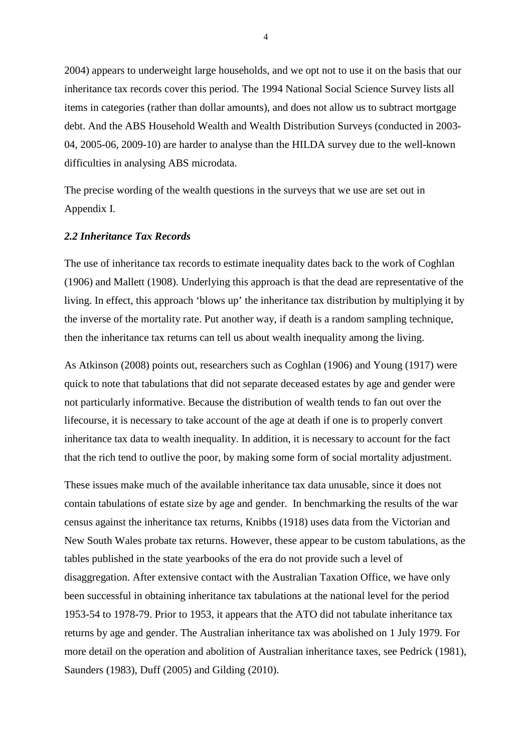2004) appears to underweight large households, and we opt not to use it on the basis that our inheritance tax records cover this period. The 1994 National Social Science Survey lists all items in categories (rather than dollar amounts), and does not allow us to subtract mortgage debt. And the ABS Household Wealth and Wealth Distribution Surveys (conducted in 2003- 04, 2005-06, 2009-10) are harder to analyse than the HILDA survey due to the well-known difficulties in analysing ABS microdata.

The precise wording of the wealth questions in the surveys that we use are set out in Appendix I.

#### *2.2 Inheritance Tax Records*

The use of inheritance tax records to estimate inequality dates back to the work of Coghlan (1906) and Mallett (1908). Underlying this approach is that the dead are representative of the living. In effect, this approach 'blows up' the inheritance tax distribution by multiplying it by the inverse of the mortality rate. Put another way, if death is a random sampling technique, then the inheritance tax returns can tell us about wealth inequality among the living.

As Atkinson (2008) points out, researchers such as Coghlan (1906) and Young (1917) were quick to note that tabulations that did not separate deceased estates by age and gender were not particularly informative. Because the distribution of wealth tends to fan out over the lifecourse, it is necessary to take account of the age at death if one is to properly convert inheritance tax data to wealth inequality. In addition, it is necessary to account for the fact that the rich tend to outlive the poor, by making some form of social mortality adjustment.

These issues make much of the available inheritance tax data unusable, since it does not contain tabulations of estate size by age and gender. In benchmarking the results of the war census against the inheritance tax returns, Knibbs (1918) uses data from the Victorian and New South Wales probate tax returns. However, these appear to be custom tabulations, as the tables published in the state yearbooks of the era do not provide such a level of disaggregation. After extensive contact with the Australian Taxation Office, we have only been successful in obtaining inheritance tax tabulations at the national level for the period 1953-54 to 1978-79. Prior to 1953, it appears that the ATO did not tabulate inheritance tax returns by age and gender. The Australian inheritance tax was abolished on 1 July 1979. For more detail on the operation and abolition of Australian inheritance taxes, see Pedrick (1981), Saunders (1983), Duff (2005) and Gilding (2010).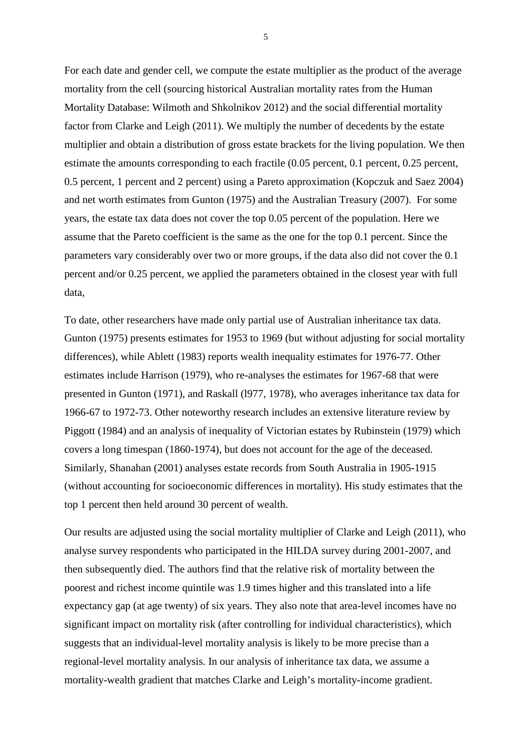For each date and gender cell, we compute the estate multiplier as the product of the average mortality from the cell (sourcing historical Australian mortality rates from the Human Mortality Database: Wilmoth and Shkolnikov 2012) and the social differential mortality factor from Clarke and Leigh (2011). We multiply the number of decedents by the estate multiplier and obtain a distribution of gross estate brackets for the living population. We then estimate the amounts corresponding to each fractile (0.05 percent, 0.1 percent, 0.25 percent, 0.5 percent, 1 percent and 2 percent) using a Pareto approximation (Kopczuk and Saez 2004) and net worth estimates from Gunton (1975) and the Australian Treasury (2007). For some years, the estate tax data does not cover the top 0.05 percent of the population. Here we assume that the Pareto coefficient is the same as the one for the top 0.1 percent. Since the parameters vary considerably over two or more groups, if the data also did not cover the 0.1 percent and/or 0.25 percent, we applied the parameters obtained in the closest year with full data,

To date, other researchers have made only partial use of Australian inheritance tax data. Gunton (1975) presents estimates for 1953 to 1969 (but without adjusting for social mortality differences), while Ablett (1983) reports wealth inequality estimates for 1976-77. Other estimates include Harrison (1979), who re-analyses the estimates for 1967-68 that were presented in Gunton (1971), and Raskall (l977, 1978), who averages inheritance tax data for 1966-67 to 1972-73. Other noteworthy research includes an extensive literature review by Piggott (1984) and an analysis of inequality of Victorian estates by Rubinstein (1979) which covers a long timespan (1860-1974), but does not account for the age of the deceased. Similarly, Shanahan (2001) analyses estate records from South Australia in 1905-1915 (without accounting for socioeconomic differences in mortality). His study estimates that the top 1 percent then held around 30 percent of wealth.

Our results are adjusted using the social mortality multiplier of Clarke and Leigh (2011), who analyse survey respondents who participated in the HILDA survey during 2001-2007, and then subsequently died. The authors find that the relative risk of mortality between the poorest and richest income quintile was 1.9 times higher and this translated into a life expectancy gap (at age twenty) of six years. They also note that area-level incomes have no significant impact on mortality risk (after controlling for individual characteristics), which suggests that an individual-level mortality analysis is likely to be more precise than a regional-level mortality analysis. In our analysis of inheritance tax data, we assume a mortality-wealth gradient that matches Clarke and Leigh's mortality-income gradient.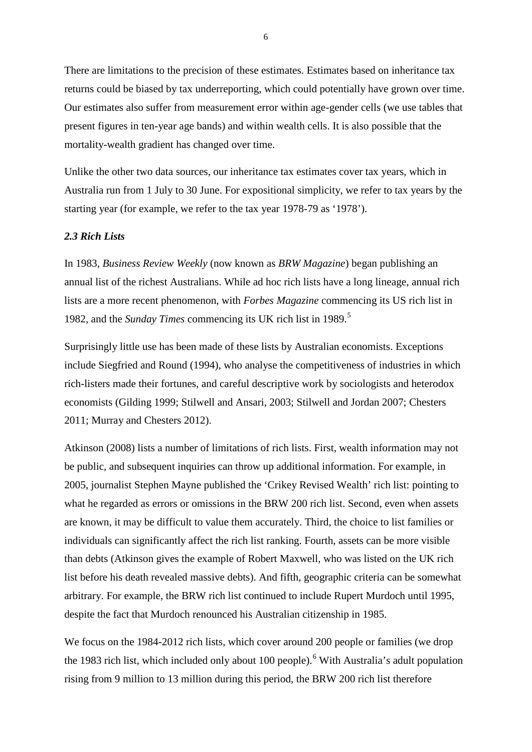There are limitations to the precision of these estimates. Estimates based on inheritance tax returns could be biased by tax underreporting, which could potentially have grown over time. Our estimates also suffer from measurement error within age-gender cells (we use tables that present figures in ten-year age bands) and within wealth cells. It is also possible that the mortality-wealth gradient has changed over time.

Unlike the other two data sources, our inheritance tax estimates cover tax years, which in Australia run from 1 July to 30 June. For expositional simplicity, we refer to tax years by the starting year (for example, we refer to the tax year 1978-79 as '1978').

#### *2.3 Rich Lists*

In 1983, *Business Review Weekly* (now known as *BRW Magazine*) began publishing an annual list of the richest Australians. While ad hoc rich lists have a long lineage, annual rich lists are a more recent phenomenon, with *Forbes Magazine* commencing its US rich list in 1982, and the *Sunday Times* commencing its UK rich list in 1989. [5](#page-23-4)

Surprisingly little use has been made of these lists by Australian economists. Exceptions include Siegfried and Round (1994), who analyse the competitiveness of industries in which rich-listers made their fortunes, and careful descriptive work by sociologists and heterodox economists (Gilding 1999; Stilwell and Ansari, 2003; Stilwell and Jordan 2007; Chesters 2011; Murray and Chesters 2012).

Atkinson (2008) lists a number of limitations of rich lists. First, wealth information may not be public, and subsequent inquiries can throw up additional information. For example, in 2005, journalist Stephen Mayne published the 'Crikey Revised Wealth' rich list: pointing to what he regarded as errors or omissions in the BRW 200 rich list. Second, even when assets are known, it may be difficult to value them accurately. Third, the choice to list families or individuals can significantly affect the rich list ranking. Fourth, assets can be more visible than debts (Atkinson gives the example of Robert Maxwell, who was listed on the UK rich list before his death revealed massive debts). And fifth, geographic criteria can be somewhat arbitrary. For example, the BRW rich list continued to include Rupert Murdoch until 1995, despite the fact that Murdoch renounced his Australian citizenship in 1985.

We focus on the 1984-2012 rich lists, which cover around 200 people or families (we drop the 1983 rich list, which included only about 100 people).<sup>[6](#page-23-5)</sup> With Australia's adult population rising from 9 million to 13 million during this period, the BRW 200 rich list therefore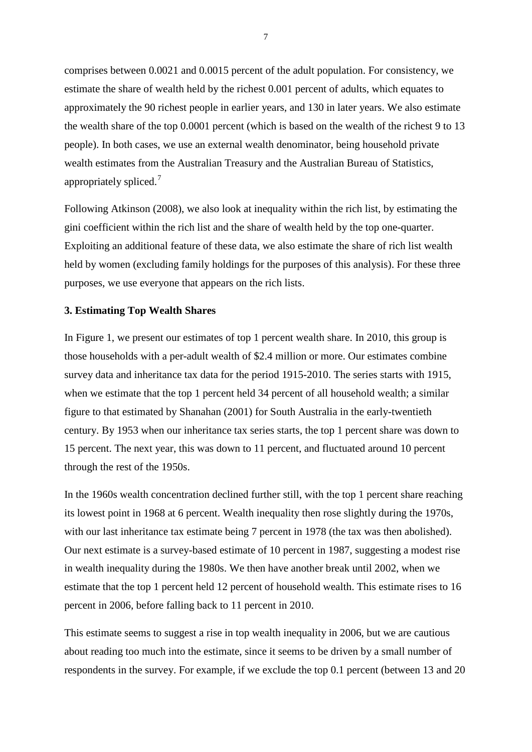comprises between 0.0021 and 0.0015 percent of the adult population. For consistency, we estimate the share of wealth held by the richest 0.001 percent of adults, which equates to approximately the 90 richest people in earlier years, and 130 in later years. We also estimate the wealth share of the top 0.0001 percent (which is based on the wealth of the richest 9 to 13 people). In both cases, we use an external wealth denominator, being household private wealth estimates from the Australian Treasury and the Australian Bureau of Statistics, appropriately spliced.<sup>[7](#page-23-6)</sup>

Following Atkinson (2008), we also look at inequality within the rich list, by estimating the gini coefficient within the rich list and the share of wealth held by the top one-quarter. Exploiting an additional feature of these data, we also estimate the share of rich list wealth held by women (excluding family holdings for the purposes of this analysis). For these three purposes, we use everyone that appears on the rich lists.

#### **3. Estimating Top Wealth Shares**

In Figure 1, we present our estimates of top 1 percent wealth share. In 2010, this group is those households with a per-adult wealth of \$2.4 million or more. Our estimates combine survey data and inheritance tax data for the period 1915-2010. The series starts with 1915, when we estimate that the top 1 percent held 34 percent of all household wealth; a similar figure to that estimated by Shanahan (2001) for South Australia in the early-twentieth century. By 1953 when our inheritance tax series starts, the top 1 percent share was down to 15 percent. The next year, this was down to 11 percent, and fluctuated around 10 percent through the rest of the 1950s.

In the 1960s wealth concentration declined further still, with the top 1 percent share reaching its lowest point in 1968 at 6 percent. Wealth inequality then rose slightly during the 1970s, with our last inheritance tax estimate being 7 percent in 1978 (the tax was then abolished). Our next estimate is a survey-based estimate of 10 percent in 1987, suggesting a modest rise in wealth inequality during the 1980s. We then have another break until 2002, when we estimate that the top 1 percent held 12 percent of household wealth. This estimate rises to 16 percent in 2006, before falling back to 11 percent in 2010.

This estimate seems to suggest a rise in top wealth inequality in 2006, but we are cautious about reading too much into the estimate, since it seems to be driven by a small number of respondents in the survey. For example, if we exclude the top 0.1 percent (between 13 and 20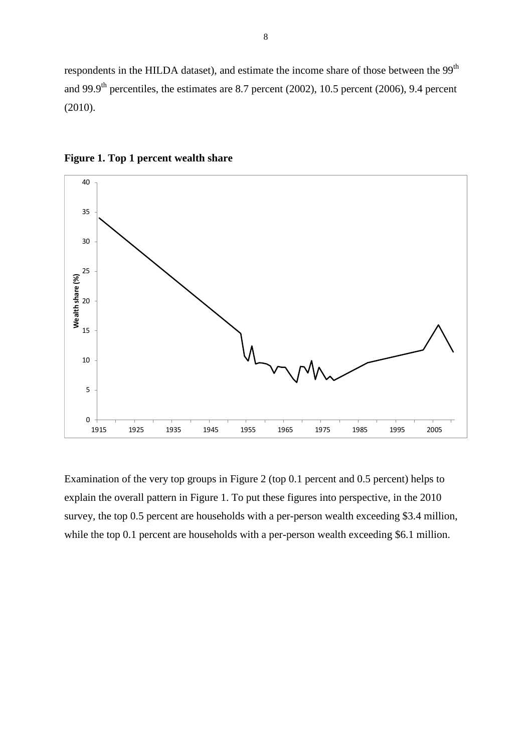respondents in the HILDA dataset), and estimate the income share of those between the 99<sup>th</sup> and 99.9<sup>th</sup> percentiles, the estimates are 8.7 percent (2002), 10.5 percent (2006), 9.4 percent (2010).





Examination of the very top groups in Figure 2 (top 0.1 percent and 0.5 percent) helps to explain the overall pattern in Figure 1. To put these figures into perspective, in the 2010 survey, the top 0.5 percent are households with a per-person wealth exceeding \$3.4 million, while the top 0.1 percent are households with a per-person wealth exceeding \$6.1 million.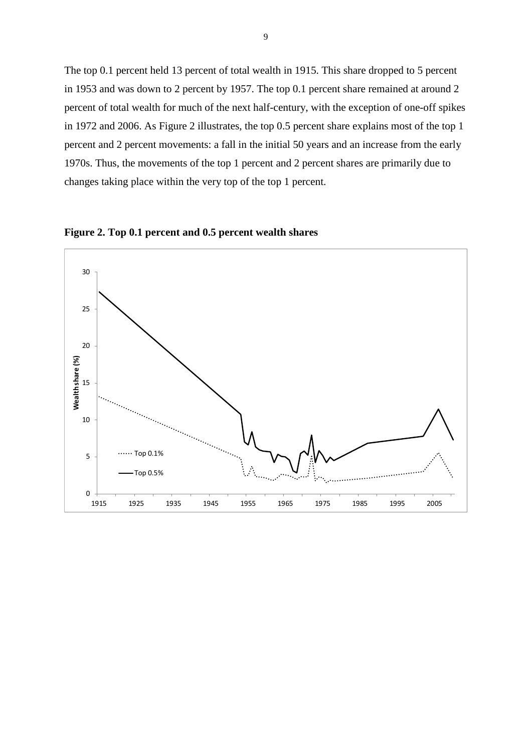The top 0.1 percent held 13 percent of total wealth in 1915. This share dropped to 5 percent in 1953 and was down to 2 percent by 1957. The top 0.1 percent share remained at around 2 percent of total wealth for much of the next half-century, with the exception of one-off spikes in 1972 and 2006. As Figure 2 illustrates, the top 0.5 percent share explains most of the top 1 percent and 2 percent movements: a fall in the initial 50 years and an increase from the early 1970s. Thus, the movements of the top 1 percent and 2 percent shares are primarily due to changes taking place within the very top of the top 1 percent.



**Figure 2. Top 0.1 percent and 0.5 percent wealth shares**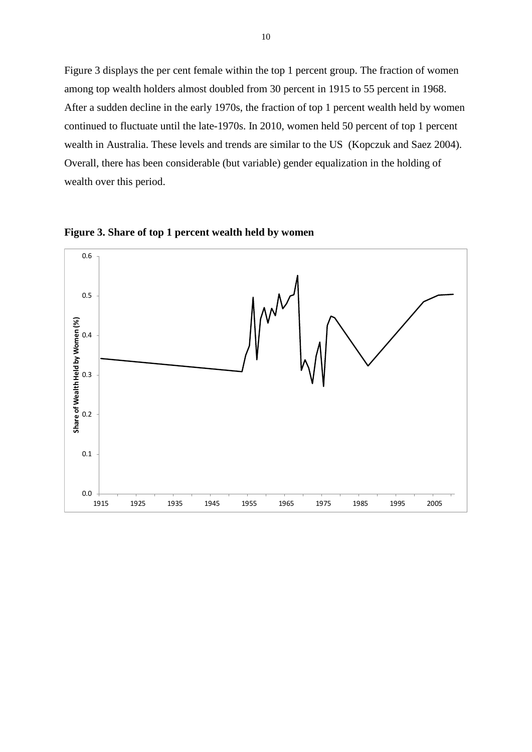Figure 3 displays the per cent female within the top 1 percent group. The fraction of women among top wealth holders almost doubled from 30 percent in 1915 to 55 percent in 1968. After a sudden decline in the early 1970s, the fraction of top 1 percent wealth held by women continued to fluctuate until the late-1970s. In 2010, women held 50 percent of top 1 percent wealth in Australia. These levels and trends are similar to the US (Kopczuk and Saez 2004). Overall, there has been considerable (but variable) gender equalization in the holding of wealth over this period.



**Figure 3. Share of top 1 percent wealth held by women**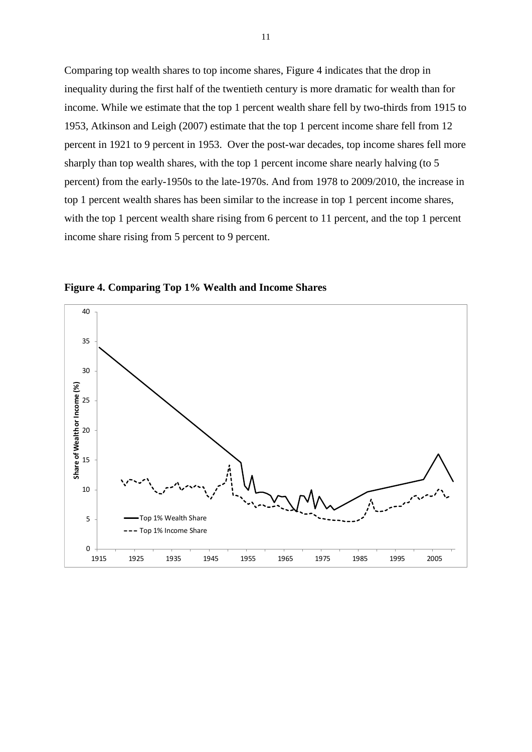Comparing top wealth shares to top income shares, Figure 4 indicates that the drop in inequality during the first half of the twentieth century is more dramatic for wealth than for income. While we estimate that the top 1 percent wealth share fell by two-thirds from 1915 to 1953, Atkinson and Leigh (2007) estimate that the top 1 percent income share fell from 12 percent in 1921 to 9 percent in 1953. Over the post-war decades, top income shares fell more sharply than top wealth shares, with the top 1 percent income share nearly halving (to 5 percent) from the early-1950s to the late-1970s. And from 1978 to 2009/2010, the increase in top 1 percent wealth shares has been similar to the increase in top 1 percent income shares, with the top 1 percent wealth share rising from 6 percent to 11 percent, and the top 1 percent income share rising from 5 percent to 9 percent.



**Figure 4. Comparing Top 1% Wealth and Income Shares**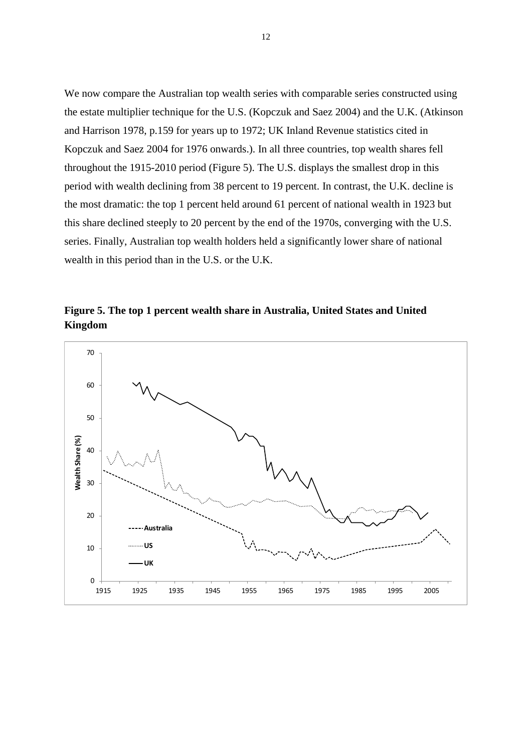We now compare the Australian top wealth series with comparable series constructed using the estate multiplier technique for the U.S. (Kopczuk and Saez 2004) and the U.K. (Atkinson and Harrison 1978, p.159 for years up to 1972; UK Inland Revenue statistics cited in Kopczuk and Saez 2004 for 1976 onwards.). In all three countries, top wealth shares fell throughout the 1915-2010 period (Figure 5). The U.S. displays the smallest drop in this period with wealth declining from 38 percent to 19 percent. In contrast, the U.K. decline is the most dramatic: the top 1 percent held around 61 percent of national wealth in 1923 but this share declined steeply to 20 percent by the end of the 1970s, converging with the U.S. series. Finally, Australian top wealth holders held a significantly lower share of national wealth in this period than in the U.S. or the U.K.

**Figure 5. The top 1 percent wealth share in Australia, United States and United Kingdom** 

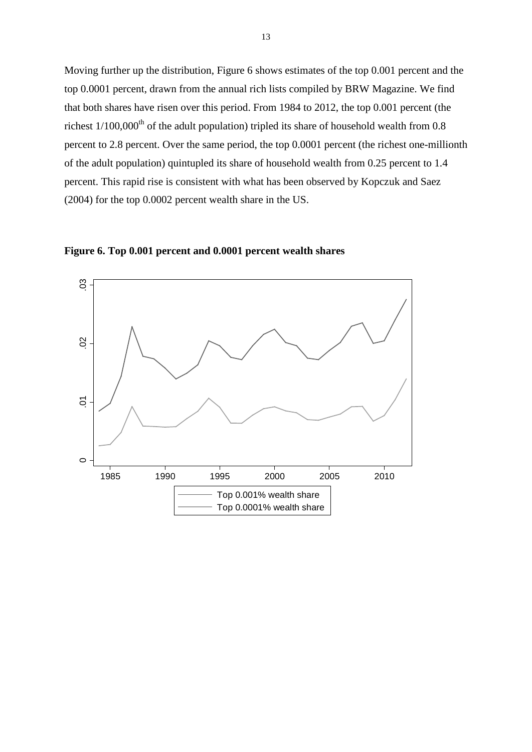Moving further up the distribution, Figure 6 shows estimates of the top 0.001 percent and the top 0.0001 percent, drawn from the annual rich lists compiled by BRW Magazine. We find that both shares have risen over this period. From 1984 to 2012, the top 0.001 percent (the richest  $1/100,000$ <sup>th</sup> of the adult population) tripled its share of household wealth from 0.8 percent to 2.8 percent. Over the same period, the top 0.0001 percent (the richest one-millionth of the adult population) quintupled its share of household wealth from 0.25 percent to 1.4 percent. This rapid rise is consistent with what has been observed by Kopczuk and Saez (2004) for the top 0.0002 percent wealth share in the US.



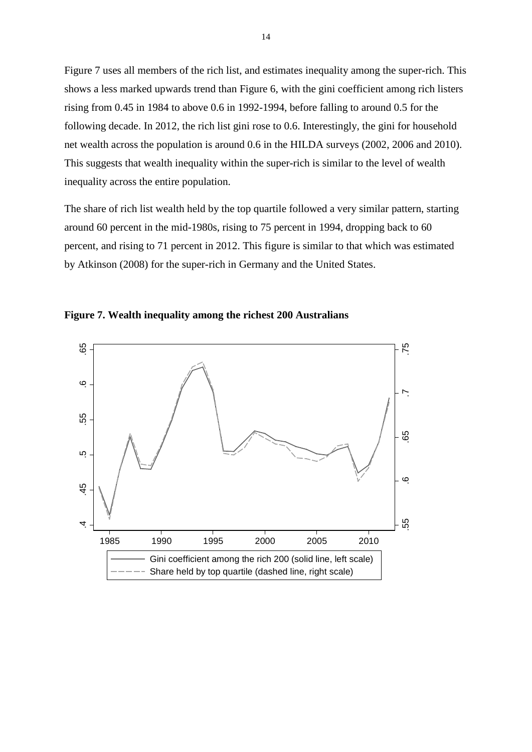Figure 7 uses all members of the rich list, and estimates inequality among the super-rich. This shows a less marked upwards trend than Figure 6, with the gini coefficient among rich listers rising from 0.45 in 1984 to above 0.6 in 1992-1994, before falling to around 0.5 for the following decade. In 2012, the rich list gini rose to 0.6. Interestingly, the gini for household net wealth across the population is around 0.6 in the HILDA surveys (2002, 2006 and 2010). This suggests that wealth inequality within the super-rich is similar to the level of wealth inequality across the entire population.

The share of rich list wealth held by the top quartile followed a very similar pattern, starting around 60 percent in the mid-1980s, rising to 75 percent in 1994, dropping back to 60 percent, and rising to 71 percent in 2012. This figure is similar to that which was estimated by Atkinson (2008) for the super-rich in Germany and the United States.



**Figure 7. Wealth inequality among the richest 200 Australians**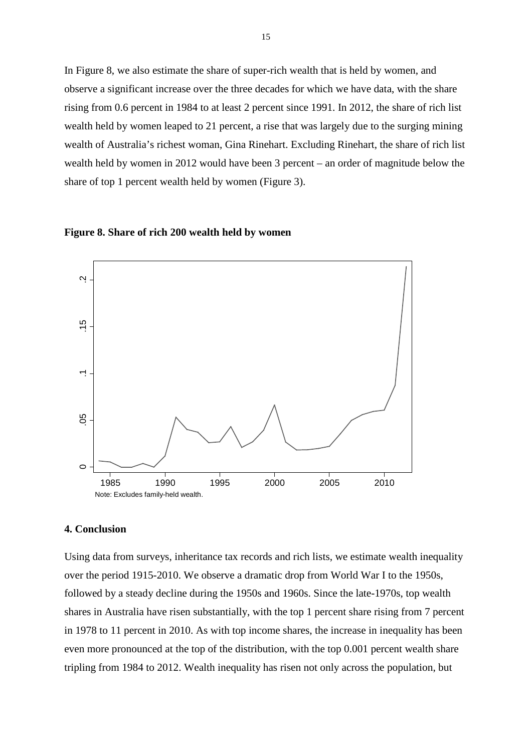In Figure 8, we also estimate the share of super-rich wealth that is held by women, and observe a significant increase over the three decades for which we have data, with the share rising from 0.6 percent in 1984 to at least 2 percent since 1991. In 2012, the share of rich list wealth held by women leaped to 21 percent, a rise that was largely due to the surging mining wealth of Australia's richest woman, Gina Rinehart. Excluding Rinehart, the share of rich list wealth held by women in 2012 would have been 3 percent – an order of magnitude below the share of top 1 percent wealth held by women (Figure 3).





#### **4. Conclusion**

Using data from surveys, inheritance tax records and rich lists, we estimate wealth inequality over the period 1915-2010. We observe a dramatic drop from World War I to the 1950s, followed by a steady decline during the 1950s and 1960s. Since the late-1970s, top wealth shares in Australia have risen substantially, with the top 1 percent share rising from 7 percent in 1978 to 11 percent in 2010. As with top income shares, the increase in inequality has been even more pronounced at the top of the distribution, with the top 0.001 percent wealth share tripling from 1984 to 2012. Wealth inequality has risen not only across the population, but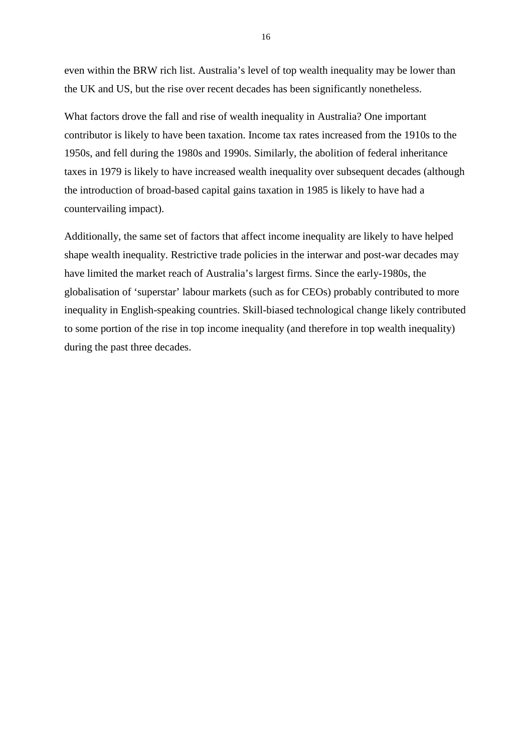even within the BRW rich list. Australia's level of top wealth inequality may be lower than the UK and US, but the rise over recent decades has been significantly nonetheless.

What factors drove the fall and rise of wealth inequality in Australia? One important contributor is likely to have been taxation. Income tax rates increased from the 1910s to the 1950s, and fell during the 1980s and 1990s. Similarly, the abolition of federal inheritance taxes in 1979 is likely to have increased wealth inequality over subsequent decades (although the introduction of broad-based capital gains taxation in 1985 is likely to have had a countervailing impact).

Additionally, the same set of factors that affect income inequality are likely to have helped shape wealth inequality. Restrictive trade policies in the interwar and post-war decades may have limited the market reach of Australia's largest firms. Since the early-1980s, the globalisation of 'superstar' labour markets (such as for CEOs) probably contributed to more inequality in English-speaking countries. Skill-biased technological change likely contributed to some portion of the rise in top income inequality (and therefore in top wealth inequality) during the past three decades.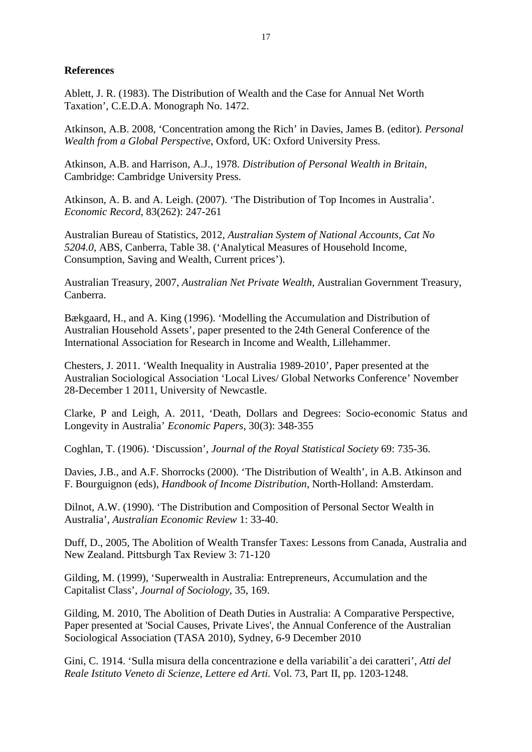## **References**

Ablett, J. R. (1983). The Distribution of Wealth and the Case for Annual Net Worth Taxation', C.E.D.A. Monograph No. 1472.

Atkinson, A.B. 2008, 'Concentration among the Rich' in Davies, James B. (editor). *Personal Wealth from a Global Perspective*, Oxford, UK: Oxford University Press.

Atkinson, A.B. and Harrison, A.J., 1978. *Distribution of Personal Wealth in Britain*, Cambridge: Cambridge University Press.

Atkinson, A. B. and A. Leigh. (2007). 'The Distribution of Top Incomes in Australia'. *Economic Record*, 83(262): 247-261

Australian Bureau of Statistics, 2012, *Australian System of National Accounts, Cat No 5204.0*, ABS, Canberra, Table 38. ('Analytical Measures of Household Income, Consumption, Saving and Wealth, Current prices').

Australian Treasury, 2007, *Australian Net Private Wealth,* Australian Government Treasury, Canberra.

Bækgaard, H., and A. King (1996). 'Modelling the Accumulation and Distribution of Australian Household Assets', paper presented to the 24th General Conference of the International Association for Research in Income and Wealth, Lillehammer.

Chesters, J. 2011. 'Wealth Inequality in Australia 1989-2010', Paper presented at the Australian Sociological Association 'Local Lives/ Global Networks Conference' November 28-December 1 2011, University of Newcastle.

Clarke, P and Leigh, A. 2011, 'Death, Dollars and Degrees: Socio-economic Status and Longevity in Australia' *Economic Papers*, 30(3): 348-355

Coghlan, T. (1906). 'Discussion', *Journal of the Royal Statistical Society* 69: 735-36.

Davies, J.B., and A.F. Shorrocks (2000). 'The Distribution of Wealth', in A.B. Atkinson and F. Bourguignon (eds), *Handbook of Income Distribution*, North-Holland: Amsterdam.

Dilnot, A.W. (1990). 'The Distribution and Composition of Personal Sector Wealth in Australia', *Australian Economic Review* 1: 33-40.

Duff, D., 2005, The Abolition of Wealth Transfer Taxes: Lessons from Canada, Australia and New Zealand. Pittsburgh Tax Review 3: 71-120

Gilding, M. (1999), 'Superwealth in Australia: Entrepreneurs, Accumulation and the Capitalist Class', *Journal of Sociology*, 35, 169.

Gilding, M. 2010, The Abolition of Death Duties in Australia: A Comparative Perspective, Paper presented at 'Social Causes, Private Lives', the Annual Conference of the Australian Sociological Association (TASA 2010), Sydney, 6-9 December 2010

Gini, C. 1914. 'Sulla misura della concentrazione e della variabilit`a dei caratteri', *Atti del Reale Istituto Veneto di Scienze, Lettere ed Arti.* Vol. 73, Part II, pp. 1203-1248.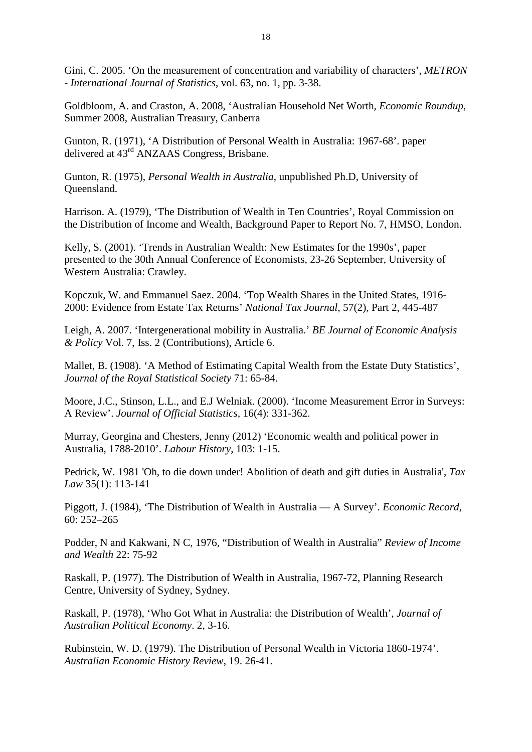Gini, C. 2005. 'On the measurement of concentration and variability of characters', *METRON - International Journal of Statistics*, vol. 63, no. 1, pp. 3-38.

Goldbloom, A. and Craston, A. 2008, 'Australian Household Net Worth, *Economic Roundup*, Summer 2008, Australian Treasury, Canberra

Gunton, R. (1971), 'A Distribution of Personal Wealth in Australia: 1967-68'. paper delivered at 43rd ANZAAS Congress, Brisbane.

Gunton, R. (1975), *Personal Wealth in Australia*, unpublished Ph.D, University of Queensland.

Harrison. A. (1979), 'The Distribution of Wealth in Ten Countries', Royal Commission on the Distribution of Income and Wealth, Background Paper to Report No. 7, HMSO, London.

Kelly, S. (2001). 'Trends in Australian Wealth: New Estimates for the 1990s', paper presented to the 30th Annual Conference of Economists, 23-26 September, University of Western Australia: Crawley.

Kopczuk, W. and Emmanuel Saez. 2004. 'Top Wealth Shares in the United States, 1916- 2000: Evidence from Estate Tax Returns' *National Tax Journal*, 57(2), Part 2, 445-487

Leigh, A. 2007. 'Intergenerational mobility in Australia.' *BE Journal of Economic Analysis & Policy* Vol. 7, Iss. 2 (Contributions), Article 6.

Mallet, B. (1908). 'A Method of Estimating Capital Wealth from the Estate Duty Statistics', *Journal of the Royal Statistical Society* 71: 65-84.

Moore, J.C., Stinson, L.L., and E.J Welniak. (2000). 'Income Measurement Error in Surveys: A Review'. *Journal of Official Statistics,* 16(4): 331-362.

Murray, Georgina and Chesters, Jenny (2012) 'Economic wealth and political power in Australia, 1788-2010'. *Labour History*, 103: 1-15.

Pedrick, W. 1981 'Oh, to die down under! Abolition of death and gift duties in Australia', *Tax Law* 35(1): 113-141

Piggott, J. (1984), 'The Distribution of Wealth in Australia — A Survey'. *Economic Record*, 60: 252–265

Podder, N and Kakwani, N C, 1976, "Distribution of Wealth in Australia" *Review of Income and Wealth* 22: 75-92

Raskall, P. (1977). The Distribution of Wealth in Australia, 1967-72, Planning Research Centre, University of Sydney, Sydney.

Raskall, P. (1978), 'Who Got What in Australia: the Distribution of Wealth', *Journal of Australian Political Economy*. 2, 3-16.

Rubinstein, W. D. (1979). The Distribution of Personal Wealth in Victoria 1860-1974'. *Australian Economic History Review*, 19. 26-41.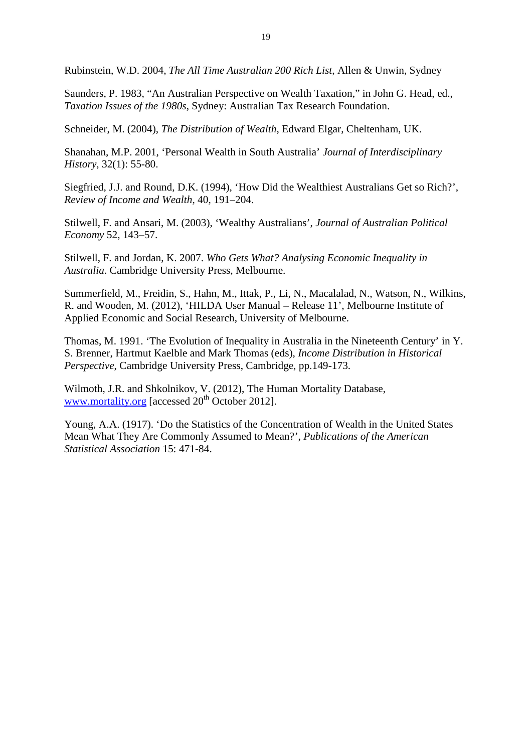Rubinstein, W.D. 2004, *The All Time Australian 200 Rich List*, Allen & Unwin, Sydney

Saunders, P. 1983, "An Australian Perspective on Wealth Taxation," in John G. Head, ed., *Taxation Issues of the 1980s*, Sydney: Australian Tax Research Foundation.

Schneider, M. (2004), *The Distribution of Wealth*, Edward Elgar, Cheltenham, UK.

Shanahan, M.P. 2001, 'Personal Wealth in South Australia' *Journal of Interdisciplinary History*, 32(1): 55-80.

Siegfried, J.J. and Round, D.K. (1994), 'How Did the Wealthiest Australians Get so Rich?', *Review of Income and Wealth*, 40, 191–204.

Stilwell, F. and Ansari, M. (2003), 'Wealthy Australians', *Journal of Australian Political Economy* 52, 143–57.

Stilwell, F. and Jordan, K. 2007. *Who Gets What? Analysing Economic Inequality in Australia*. Cambridge University Press, Melbourne.

Summerfield, M., Freidin, S., Hahn, M., Ittak, P., Li, N., Macalalad, N., Watson, N., Wilkins, R. and Wooden, M. (2012), 'HILDA User Manual – Release 11', Melbourne Institute of Applied Economic and Social Research, University of Melbourne.

Thomas, M. 1991. 'The Evolution of Inequality in Australia in the Nineteenth Century' in Y. S. Brenner, Hartmut Kaelble and Mark Thomas (eds), *Income Distribution in Historical Perspective*, Cambridge University Press, Cambridge, pp.149-173.

Wilmoth, J.R. and Shkolnikov, V. (2012), The Human Mortality Database, [www.mortality.org](http://www.mortality.org/) [accessed  $20<sup>th</sup>$  October 2012].

Young, A.A. (1917). 'Do the Statistics of the Concentration of Wealth in the United States Mean What They Are Commonly Assumed to Mean?', *Publications of the American Statistical Association* 15: 471-84.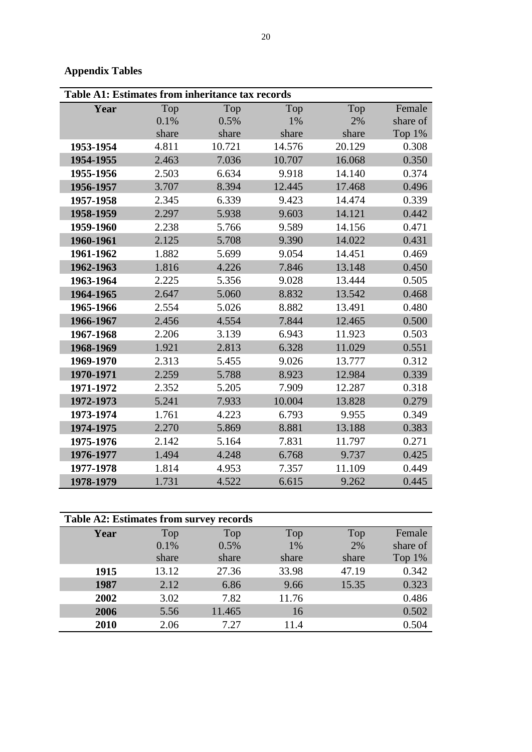## **Appendix Tables**

| <b>Table A1: Estimates from inheritance tax records</b> |       |        |        |        |          |  |
|---------------------------------------------------------|-------|--------|--------|--------|----------|--|
| Year                                                    | Top   | Top    | Top    | Top    | Female   |  |
|                                                         | 0.1%  | 0.5%   | 1%     | 2%     | share of |  |
|                                                         | share | share  | share  | share  | Top 1%   |  |
| 1953-1954                                               | 4.811 | 10.721 | 14.576 | 20.129 | 0.308    |  |
| 1954-1955                                               | 2.463 | 7.036  | 10.707 | 16.068 | 0.350    |  |
| 1955-1956                                               | 2.503 | 6.634  | 9.918  | 14.140 | 0.374    |  |
| 1956-1957                                               | 3.707 | 8.394  | 12.445 | 17.468 | 0.496    |  |
| 1957-1958                                               | 2.345 | 6.339  | 9.423  | 14.474 | 0.339    |  |
| 1958-1959                                               | 2.297 | 5.938  | 9.603  | 14.121 | 0.442    |  |
| 1959-1960                                               | 2.238 | 5.766  | 9.589  | 14.156 | 0.471    |  |
| 1960-1961                                               | 2.125 | 5.708  | 9.390  | 14.022 | 0.431    |  |
| 1961-1962                                               | 1.882 | 5.699  | 9.054  | 14.451 | 0.469    |  |
| 1962-1963                                               | 1.816 | 4.226  | 7.846  | 13.148 | 0.450    |  |
| 1963-1964                                               | 2.225 | 5.356  | 9.028  | 13.444 | 0.505    |  |
| 1964-1965                                               | 2.647 | 5.060  | 8.832  | 13.542 | 0.468    |  |
| 1965-1966                                               | 2.554 | 5.026  | 8.882  | 13.491 | 0.480    |  |
| 1966-1967                                               | 2.456 | 4.554  | 7.844  | 12.465 | 0.500    |  |
| 1967-1968                                               | 2.206 | 3.139  | 6.943  | 11.923 | 0.503    |  |
| 1968-1969                                               | 1.921 | 2.813  | 6.328  | 11.029 | 0.551    |  |
| 1969-1970                                               | 2.313 | 5.455  | 9.026  | 13.777 | 0.312    |  |
| 1970-1971                                               | 2.259 | 5.788  | 8.923  | 12.984 | 0.339    |  |
| 1971-1972                                               | 2.352 | 5.205  | 7.909  | 12.287 | 0.318    |  |
| 1972-1973                                               | 5.241 | 7.933  | 10.004 | 13.828 | 0.279    |  |
| 1973-1974                                               | 1.761 | 4.223  | 6.793  | 9.955  | 0.349    |  |
| 1974-1975                                               | 2.270 | 5.869  | 8.881  | 13.188 | 0.383    |  |
| 1975-1976                                               | 2.142 | 5.164  | 7.831  | 11.797 | 0.271    |  |
| 1976-1977                                               | 1.494 | 4.248  | 6.768  | 9.737  | 0.425    |  |
| 1977-1978                                               | 1.814 | 4.953  | 7.357  | 11.109 | 0.449    |  |
| 1978-1979                                               | 1.731 | 4.522  | 6.615  | 9.262  | 0.445    |  |

| Table A2: Estimates from survey records |       |        |       |       |          |  |
|-----------------------------------------|-------|--------|-------|-------|----------|--|
| Year                                    | Top   | Top    | Top   | Top   | Female   |  |
|                                         | 0.1%  | 0.5%   | 1%    | 2%    | share of |  |
|                                         | share | share  | share | share | Top 1%   |  |
| 1915                                    | 13.12 | 27.36  | 33.98 | 47.19 | 0.342    |  |
| 1987                                    | 2.12  | 6.86   | 9.66  | 15.35 | 0.323    |  |
| 2002                                    | 3.02  | 7.82   | 11.76 |       | 0.486    |  |
| 2006                                    | 5.56  | 11.465 | 16    |       | 0.502    |  |
| 2010                                    | 2.06  | 7.27   | 11.4  |       | 0.504    |  |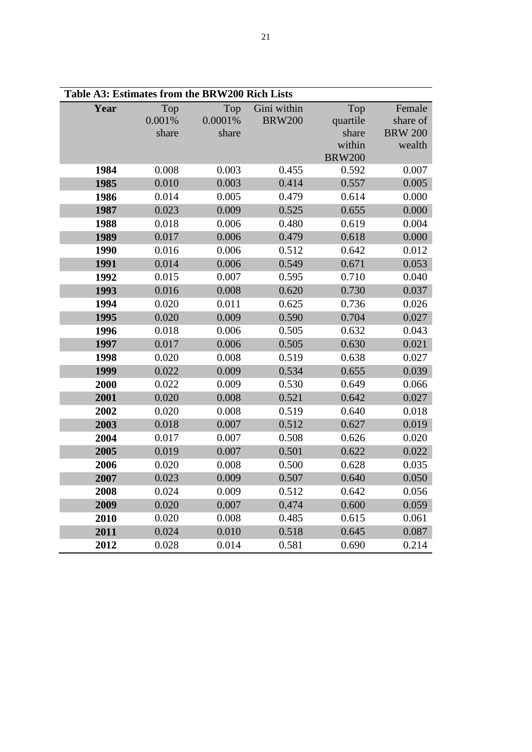| Table A3: Estimates from the BRW200 Rich Lists |        |         |               |               |                |  |
|------------------------------------------------|--------|---------|---------------|---------------|----------------|--|
| Year                                           | Top    | Top     | Gini within   | Top           | Female         |  |
|                                                | 0.001% | 0.0001% | <b>BRW200</b> | quartile      | share of       |  |
|                                                | share  | share   |               | share         | <b>BRW 200</b> |  |
|                                                |        |         |               | within        | wealth         |  |
|                                                |        |         |               | <b>BRW200</b> |                |  |
| 1984                                           | 0.008  | 0.003   | 0.455         | 0.592         | 0.007          |  |
| 1985                                           | 0.010  | 0.003   | 0.414         | 0.557         | 0.005          |  |
| 1986                                           | 0.014  | 0.005   | 0.479         | 0.614         | 0.000          |  |
| 1987                                           | 0.023  | 0.009   | 0.525         | 0.655         | 0.000          |  |
| 1988                                           | 0.018  | 0.006   | 0.480         | 0.619         | 0.004          |  |
| 1989                                           | 0.017  | 0.006   | 0.479         | 0.618         | 0.000          |  |
| 1990                                           | 0.016  | 0.006   | 0.512         | 0.642         | 0.012          |  |
| 1991                                           | 0.014  | 0.006   | 0.549         | 0.671         | 0.053          |  |
| 1992                                           | 0.015  | 0.007   | 0.595         | 0.710         | 0.040          |  |
| 1993                                           | 0.016  | 0.008   | 0.620         | 0.730         | 0.037          |  |
| 1994                                           | 0.020  | 0.011   | 0.625         | 0.736         | 0.026          |  |
| 1995                                           | 0.020  | 0.009   | 0.590         | 0.704         | 0.027          |  |
| 1996                                           | 0.018  | 0.006   | 0.505         | 0.632         | 0.043          |  |
| 1997                                           | 0.017  | 0.006   | 0.505         | 0.630         | 0.021          |  |
| 1998                                           | 0.020  | 0.008   | 0.519         | 0.638         | 0.027          |  |
| 1999                                           | 0.022  | 0.009   | 0.534         | 0.655         | 0.039          |  |
| 2000                                           | 0.022  | 0.009   | 0.530         | 0.649         | 0.066          |  |
| 2001                                           | 0.020  | 0.008   | 0.521         | 0.642         | 0.027          |  |
| 2002                                           | 0.020  | 0.008   | 0.519         | 0.640         | 0.018          |  |
| 2003                                           | 0.018  | 0.007   | 0.512         | 0.627         | 0.019          |  |
| 2004                                           | 0.017  | 0.007   | 0.508         | 0.626         | 0.020          |  |
| 2005                                           | 0.019  | 0.007   | 0.501         | 0.622         | 0.022          |  |
| 2006                                           | 0.020  | 0.008   | 0.500         | 0.628         | 0.035          |  |
| 2007                                           | 0.023  | 0.009   | 0.507         | 0.640         | 0.050          |  |
| 2008                                           | 0.024  | 0.009   | 0.512         | 0.642         | 0.056          |  |
| 2009                                           | 0.020  | 0.007   | 0.474         | 0.600         | 0.059          |  |
| 2010                                           | 0.020  | 0.008   | 0.485         | 0.615         | 0.061          |  |
| 2011                                           | 0.024  | 0.010   | 0.518         | 0.645         | 0.087          |  |
| 2012                                           | 0.028  | 0.014   | 0.581         | 0.690         | 0.214          |  |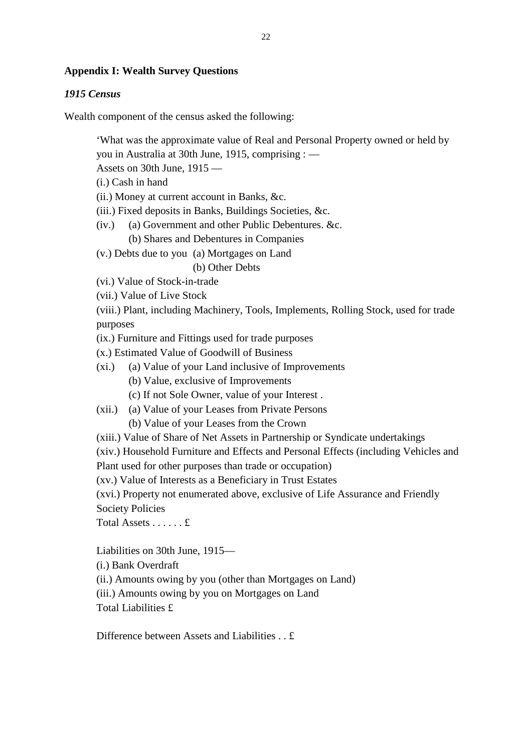## **Appendix I: Wealth Survey Questions**

## *1915 Census*

Wealth component of the census asked the following:

'What was the approximate value of Real and Personal Property owned or held by you in Australia at 30th June, 1915, comprising : —

Assets on 30th June, 1915 —

(i.) Cash in hand

(ii.) Money at current account in Banks, &c.

(iii.) Fixed deposits in Banks, Buildings Societies, &c.

(iv.) (a) Government and other Public Debentures. &c.

(b) Shares and Debentures in Companies

(v.) Debts due to you (a) Mortgages on Land

(b) Other Debts

(vi.) Value of Stock-in-trade

(vii.) Value of Live Stock

(viii.) Plant, including Machinery, Tools, Implements, Rolling Stock, used for trade purposes

(ix.) Furniture and Fittings used for trade purposes

(x.) Estimated Value of Goodwill of Business

- (xi.) (a) Value of your Land inclusive of Improvements
	- (b) Value, exclusive of Improvements
	- (c) If not Sole Owner, value of your Interest .
- (xii.) (a) Value of your Leases from Private Persons
	- (b) Value of your Leases from the Crown

(xiii.) Value of Share of Net Assets in Partnership or Syndicate undertakings

(xiv.) Household Furniture and Effects and Personal Effects (including Vehicles and Plant used for other purposes than trade or occupation)

(xv.) Value of Interests as a Beneficiary in Trust Estates

(xvi.) Property not enumerated above, exclusive of Life Assurance and Friendly Society Policies

Total Assets . . . . . . £

Liabilities on 30th June, 1915—

(i.) Bank Overdraft

(ii.) Amounts owing by you (other than Mortgages on Land)

- (iii.) Amounts owing by you on Mortgages on Land
- Total Liabilities £

Difference between Assets and Liabilities . . £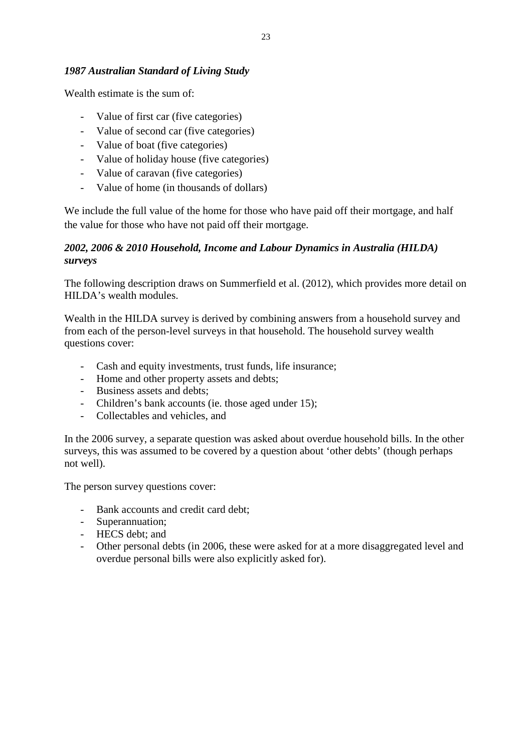## *1987 Australian Standard of Living Study*

Wealth estimate is the sum of:

- Value of first car (five categories)
- Value of second car (five categories)
- Value of boat (five categories)
- Value of holiday house (five categories)
- Value of caravan (five categories)
- Value of home (in thousands of dollars)

We include the full value of the home for those who have paid off their mortgage, and half the value for those who have not paid off their mortgage.

## *2002, 2006 & 2010 Household, Income and Labour Dynamics in Australia (HILDA) surveys*

The following description draws on Summerfield et al. (2012), which provides more detail on HILDA's wealth modules.

Wealth in the HILDA survey is derived by combining answers from a household survey and from each of the person-level surveys in that household. The household survey wealth questions cover:

- Cash and equity investments, trust funds, life insurance;
- Home and other property assets and debts;
- Business assets and debts;
- Children's bank accounts (ie. those aged under 15);
- Collectables and vehicles, and

In the 2006 survey, a separate question was asked about overdue household bills. In the other surveys, this was assumed to be covered by a question about 'other debts' (though perhaps not well).

The person survey questions cover:

- Bank accounts and credit card debt;
- Superannuation;
- HECS debt; and
- Other personal debts (in 2006, these were asked for at a more disaggregated level and overdue personal bills were also explicitly asked for).